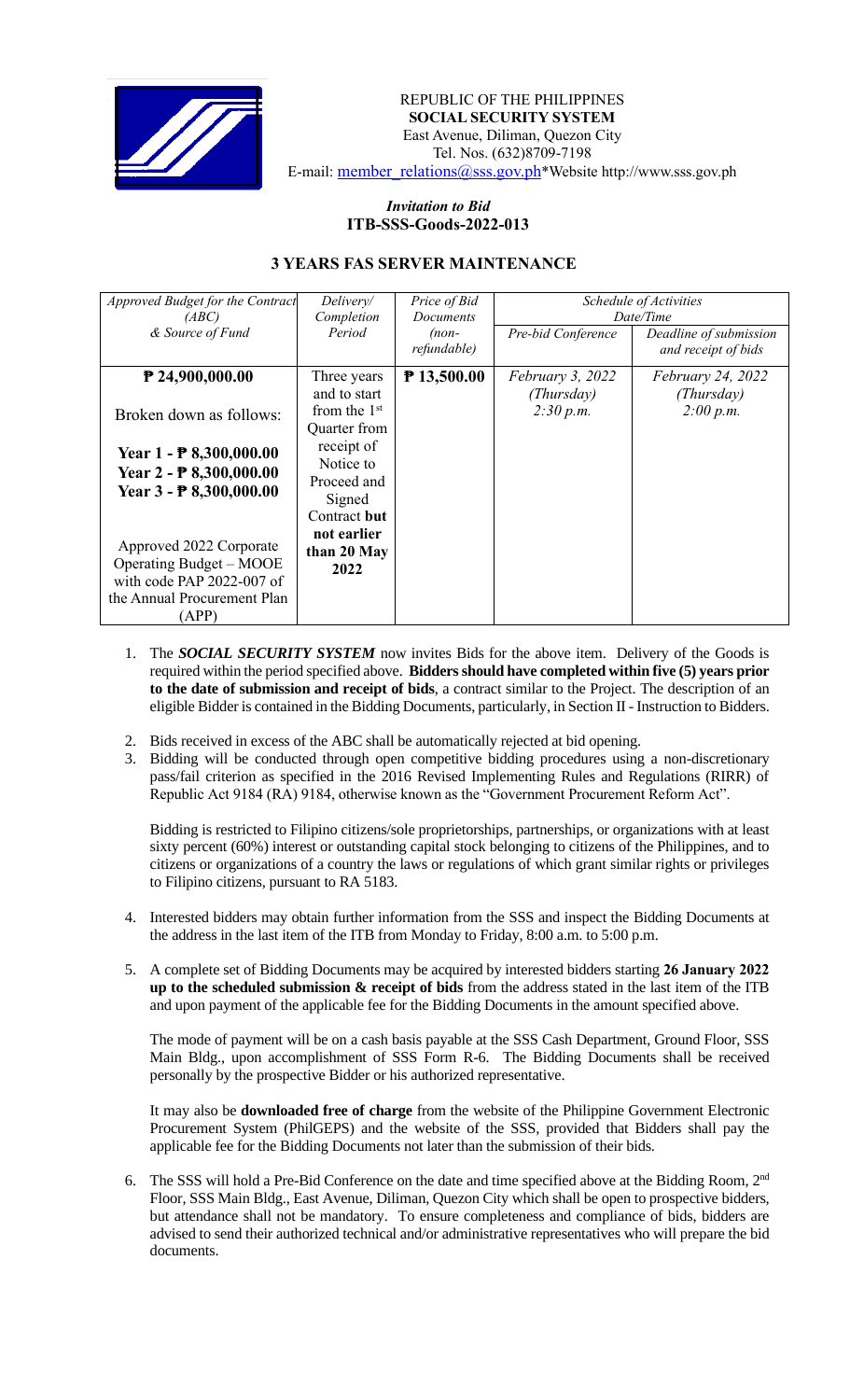

REPUBLIC OF THE PHILIPPINES  **SOCIAL SECURITY SYSTEM** East Avenue, Diliman, Quezon City Tel. Nos. (632)8709-7198 E-mail: [member\\_relations@sss.gov.ph](mailto:member_relations@sss.gov.ph)\*Website http://www.sss.gov.ph

## *Invitation to Bid*  **ITB-SSS-Goods-2022-013**

## **3 YEARS FAS SERVER MAINTENANCE**

| <i>Approved Budget for the Contract</i><br>(ABC)     | Delivery/<br>Completion                | Price of Bid<br><b>Documents</b> | Schedule of Activities<br>Date/Time |                                               |
|------------------------------------------------------|----------------------------------------|----------------------------------|-------------------------------------|-----------------------------------------------|
| & Source of Fund                                     | Period                                 | $(non-$<br>refundable)           | Pre-bid Conference                  | Deadline of submission<br>and receipt of bids |
| $P$ 24,900,000.00                                    | Three years<br>and to start            | ₱ 13,500.00                      | February 3, 2022<br>(Thursday)      | <i>February 24, 2022</i><br>(Thursday)        |
| Broken down as follows:                              | from the $1st$<br>Quarter from         |                                  | 2:30 p.m.                           | 2:00 p.m.                                     |
| Year $1 - P8,300,000.00$<br>Year $2 - P8,300,000.00$ | receipt of<br>Notice to<br>Proceed and |                                  |                                     |                                               |
| Year $3 - P8,300,000.00$                             | Signed<br>Contract but                 |                                  |                                     |                                               |
|                                                      | not earlier                            |                                  |                                     |                                               |
| Approved 2022 Corporate                              | than 20 May                            |                                  |                                     |                                               |
| Operating Budget – MOOE<br>with code PAP 2022-007 of | 2022                                   |                                  |                                     |                                               |
| the Annual Procurement Plan                          |                                        |                                  |                                     |                                               |
| (APP)                                                |                                        |                                  |                                     |                                               |

- 1. The *SOCIAL SECURITY SYSTEM* now invites Bids for the above item. Delivery of the Goods is required within the period specified above. **Bidders should have completed within five (5) years prior to the date of submission and receipt of bids**, a contract similar to the Project. The description of an eligible Bidder is contained in the Bidding Documents, particularly, in Section II - Instruction to Bidders.
- 2. Bids received in excess of the ABC shall be automatically rejected at bid opening.
- 3. Bidding will be conducted through open competitive bidding procedures using a non-discretionary pass/fail criterion as specified in the 2016 Revised Implementing Rules and Regulations (RIRR) of Republic Act 9184 (RA) 9184, otherwise known as the "Government Procurement Reform Act".

Bidding is restricted to Filipino citizens/sole proprietorships, partnerships, or organizations with at least sixty percent (60%) interest or outstanding capital stock belonging to citizens of the Philippines, and to citizens or organizations of a country the laws or regulations of which grant similar rights or privileges to Filipino citizens, pursuant to RA 5183.

- 4. Interested bidders may obtain further information from the SSS and inspect the Bidding Documents at the address in the last item of the ITB from Monday to Friday, 8:00 a.m. to 5:00 p.m.
- 5. A complete set of Bidding Documents may be acquired by interested bidders starting **26 January 2022 up to the scheduled submission & receipt of bids** from the address stated in the last item of the ITB and upon payment of the applicable fee for the Bidding Documents in the amount specified above.

The mode of payment will be on a cash basis payable at the SSS Cash Department, Ground Floor, SSS Main Bldg., upon accomplishment of SSS Form R-6. The Bidding Documents shall be received personally by the prospective Bidder or his authorized representative.

It may also be **downloaded free of charge** from the website of the Philippine Government Electronic Procurement System (PhilGEPS) and the website of the SSS*,* provided that Bidders shall pay the applicable fee for the Bidding Documents not later than the submission of their bids.

6. The SSS will hold a Pre-Bid Conference on the date and time specified above at the Bidding Room, 2<sup>nd</sup> Floor, SSS Main Bldg., East Avenue, Diliman, Quezon City which shall be open to prospective bidders, but attendance shall not be mandatory. To ensure completeness and compliance of bids, bidders are advised to send their authorized technical and/or administrative representatives who will prepare the bid documents.